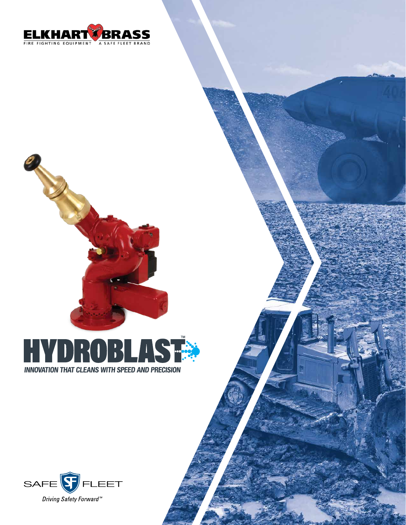



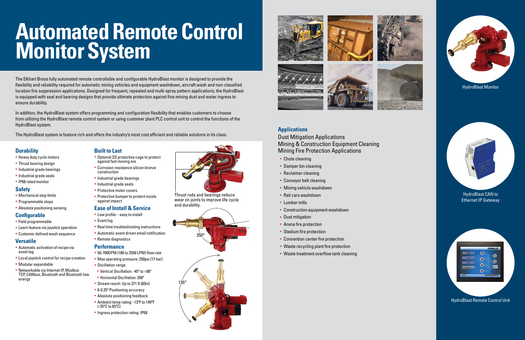The Elkhart Brass fully automated remote controllable and configurable HydroBlast monitor is designed to provide the flexibility and reliability required for automatic mining vehicles and equipment washdown, aircraft wash and non-classified location fire suppression applications. Designed for frequent, repeated and multi-spray pattern applications, the HydroBlast is equipped with seal and bearing designs that provide ultimate protection against fine mining dust and water ingress to ensure durability.

In addition, the HydroBlast system offers programming and configuration flexibility that enables customers to choose from utilizing the HydroBlast remote control system or using customer plant PLC control unit to control the functions of the HydroBlast system.

- **Automatic activation of recipe via** asset tag
- **Local joystick control for recipe creation**
- § Modular expandable
- § Networkable via Internet IP, Modbus TCP, CANbus, Bluetooth and Bluetooth low energy

The HydroBlast system is feature rich and offers the industry's most cost efficient and reliable solutions in its class.

- **Optional SS protective cage to protect** against fast moving ore
- § Corrosion resistance silicon bronze construction
- § Industrial grade bearings
- Industrial grade seals
- § Protective motor covers
- **Protective bumper to protect nozzle** against impact

### **Durability**

- § Heavy duty cycle motors
- Thrust bearing design
- § Industrial grade bearings
- Industrial grade seals
- § IP68 rated monitor

#### **Safety**

- § Mechanical stop limits
- § Programmable stops
- § Absolute positioning sensing

#### **Configurable**

- § Field programmable
- § Learn feature via joystick operation
- § Customer defined wash sequence

#### **Versatile**

- Chute cleaning
- § Damper bin cleaning
- § Reclaimer cleaning
- § Conveyor belt cleaning
- Mining vehicle washdown
- § Rail cars washdown
- § Lumber mills
- § Construction equipment washdown
- Dust mitigation
- **Arena fire protection**
- Stadium fire protection
- § Convention center fire protection
- § Waste recycling plant fire protection
- § Waste treatment overflow tank cleaning

#### **Built to Last**

## **Ease of Install & Service**

- § Low profile easy to install
- § Event log
- **Real time troubleshooting instructions**
- **Automatic event driven email notification**
- § Remote diagnostics

#### **Performance**

- § 50-700GPM (180 to 2550 LPM) flow rate
- § Max operating pressure: 250psi (17 bar)
- § Oscillation range
- § Vertical Oscillation: -45º to +90º
- § Horizontal Oscillation: 350º
- § Stream reach: Up to 271 ft (83m)
- § 0-0.25º Positioning accuracy
- **Absolute positioning feedback**
- § Ambient temp rating: -13ºF to 149ºF (-25 $\mathrm{^{\circ}C}$  to 65 $\mathrm{^{\circ}C}$ )
- § Ingress protection rating: IP68



# **Automated Remote Control Monitor System**

# **Applications**

Dust Mitigation Applications Mining & Construction Equipment Cleaning Mining Fire Protection Applications

HydroBlast Monitor

#### HydroBlast CAN to Ethernet IP Gateway



HydroBlast Remote Control Unit

Thrust rods and bearings reduce wear on joints to improve life cycle and durability.